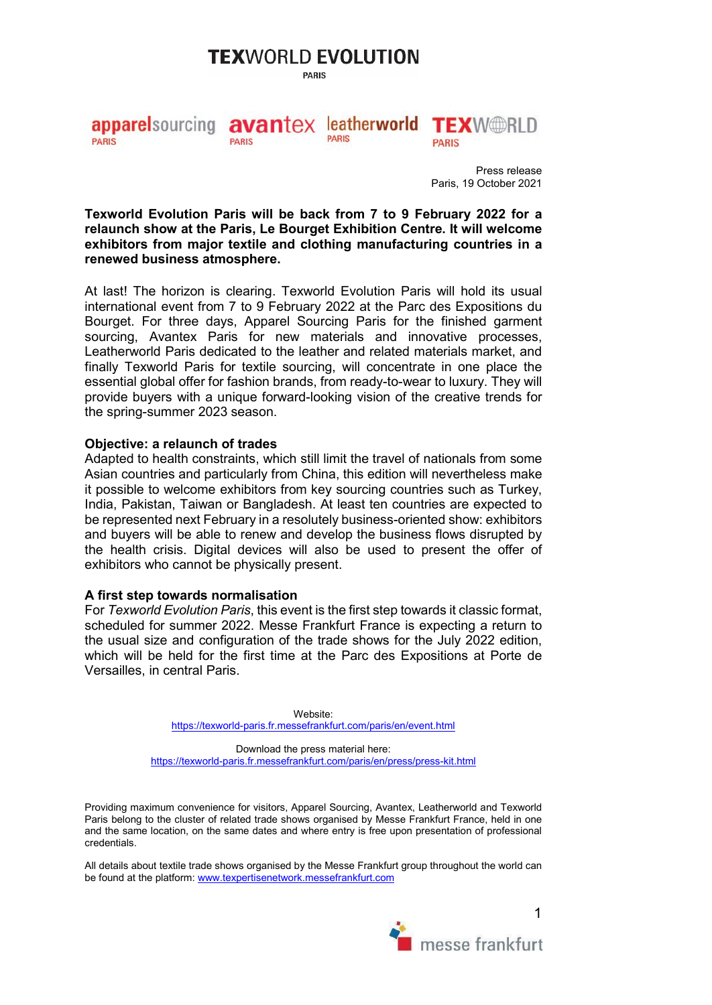# **TEX**WORLD EVOLUTION

**PARIS** 

#### avantex leatherworld TEXW@RLD **appare** sourcing **PARIS PARIS PARIS PARIS**

Press release Paris, 19 October 2021

**Texworld Evolution Paris will be back from 7 to 9 February 2022 for a relaunch show at the Paris, Le Bourget Exhibition Centre. It will welcome exhibitors from major textile and clothing manufacturing countries in a renewed business atmosphere.** 

At last! The horizon is clearing. Texworld Evolution Paris will hold its usual international event from 7 to 9 February 2022 at the Parc des Expositions du Bourget. For three days, Apparel Sourcing Paris for the finished garment sourcing, Avantex Paris for new materials and innovative processes, Leatherworld Paris dedicated to the leather and related materials market, and finally Texworld Paris for textile sourcing, will concentrate in one place the essential global offer for fashion brands, from ready-to-wear to luxury. They will provide buyers with a unique forward-looking vision of the creative trends for the spring-summer 2023 season.

## **Objective: a relaunch of trades**

Adapted to health constraints, which still limit the travel of nationals from some Asian countries and particularly from China, this edition will nevertheless make it possible to welcome exhibitors from key sourcing countries such as Turkey, India, Pakistan, Taiwan or Bangladesh. At least ten countries are expected to be represented next February in a resolutely business-oriented show: exhibitors and buyers will be able to renew and develop the business flows disrupted by the health crisis. Digital devices will also be used to present the offer of exhibitors who cannot be physically present.

## **A first step towards normalisation**

For *Texworld Evolution Paris*, this event is the first step towards it classic format, scheduled for summer 2022. Messe Frankfurt France is expecting a return to the usual size and configuration of the trade shows for the July 2022 edition, which will be held for the first time at the Parc des Expositions at Porte de Versailles, in central Paris.

> Website: <https://texworld-paris.fr.messefrankfurt.com/paris/en/event.html>

Download the press material here: <https://texworld-paris.fr.messefrankfurt.com/paris/en/press/press-kit.html>

Providing maximum convenience for visitors, Apparel Sourcing, Avantex, Leatherworld and Texworld Paris belong to the cluster of related trade shows organised by Messe Frankfurt France, held in one and the same location, on the same dates and where entry is free upon presentation of professional credentials.

All details about textile trade shows organised by the Messe Frankfurt group throughout the world can be found at the platform[: www.texpertisenetwork.messefrankfurt.com](http://www.texpertisenetwork.messefrankfurt.com/)